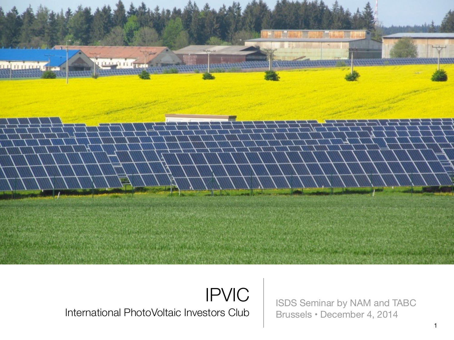

IPVIC International PhotoVoltaic Investors Club

ISDS Seminar by NAM and TABC Brussels • December 4, 2014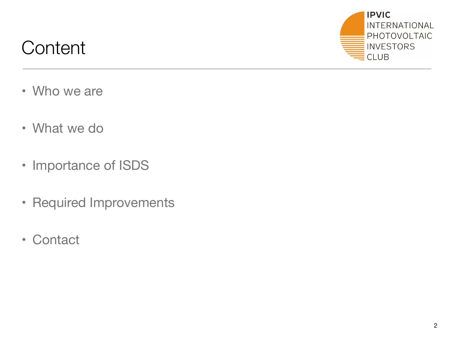## **Content**



- Who we are
- What we do
- Importance of ISDS
- Required Improvements
- Contact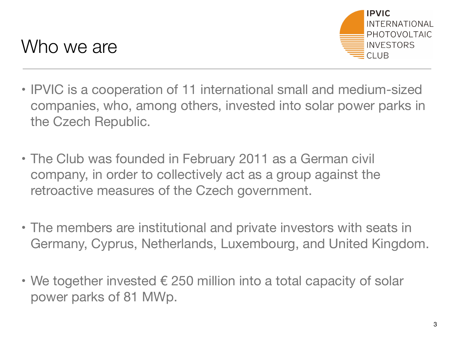

- IPVIC is a cooperation of 11 international small and medium-sized companies, who, among others, invested into solar power parks in the Czech Republic.
- The Club was founded in February 2011 as a German civil company, in order to collectively act as a group against the retroactive measures of the Czech government.
- The members are institutional and private investors with seats in Germany, Cyprus, Netherlands, Luxembourg, and United Kingdom.
- We together invested  $\epsilon$  250 million into a total capacity of solar power parks of 81 MWp.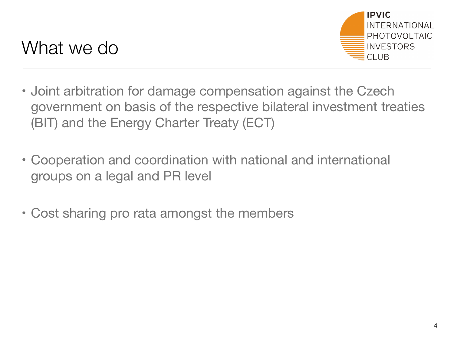

- Joint arbitration for damage compensation against the Czech government on basis of the respective bilateral investment treaties (BIT) and the Energy Charter Treaty (ECT)
- Cooperation and coordination with national and international groups on a legal and PR level
- Cost sharing pro rata amongst the members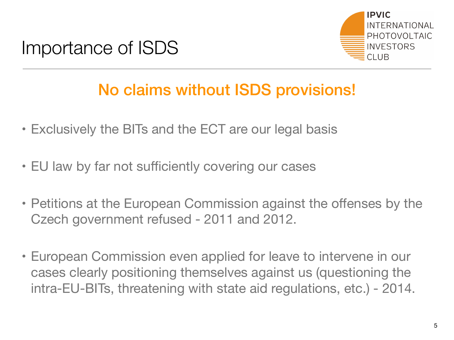



## No claims without ISDS provisions!

- Exclusively the BITs and the ECT are our legal basis
- EU law by far not sufficiently covering our cases
- Petitions at the European Commission against the offenses by the Czech government refused - 2011 and 2012.
- European Commission even applied for leave to intervene in our cases clearly positioning themselves against us (questioning the intra-EU-BITs, threatening with state aid regulations, etc.) - 2014.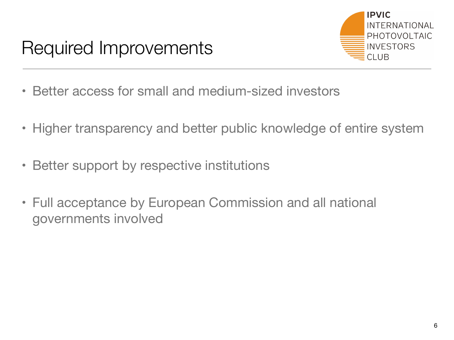

- Better access for small and medium-sized investors
- Higher transparency and better public knowledge of entire system
- Better support by respective institutions
- Full acceptance by European Commission and all national governments involved